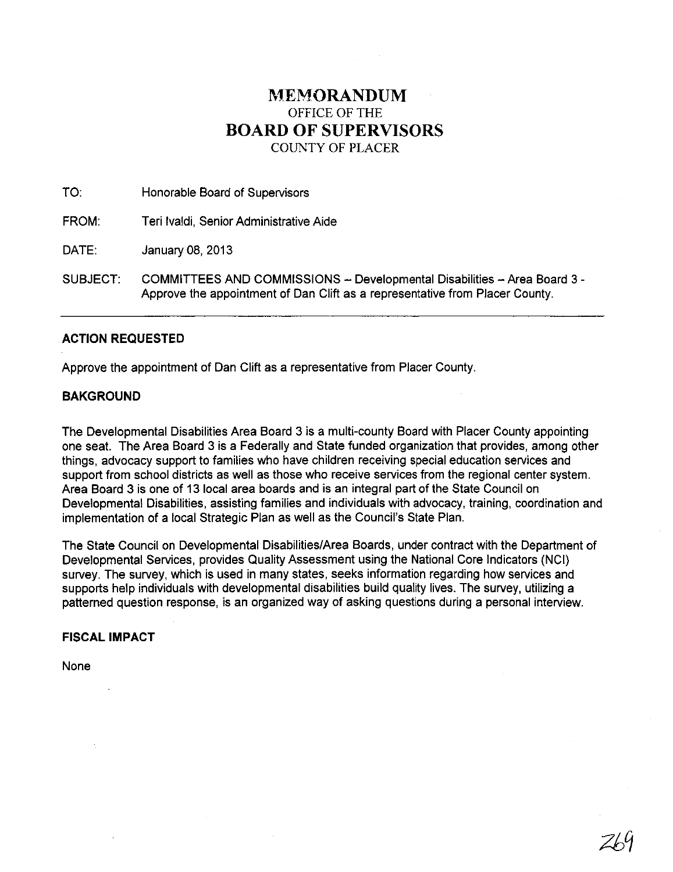## **MEMORANDUM** OFFICE OF THE **BOARD OF SUPERVISORS**  COUNTY OF PLACER

| TO:      | Honorable Board of Supervisors                                                                                                                           |
|----------|----------------------------------------------------------------------------------------------------------------------------------------------------------|
| FROM:    | Teri Ivaldi, Senior Administrative Aide                                                                                                                  |
| DATE:    | January 08, 2013                                                                                                                                         |
| SUBJECT: | COMMITTEES AND COMMISSIONS - Developmental Disabilities - Area Board 3 -<br>Approve the appointment of Dan Clift as a representative from Placer County. |

## **ACTION REQUESTED**

Approve the appointment of Dan Clift as a representative from Placer County.

## **BAKGROUND**

The Developmental Disabilities Area Board 3 is a multi-county Board with Placer County appointing one seat. The Area Board 3 is a Federally and State funded organization that provides, among other things, advocacy support to families who have children receiving special education services and support from school districts as well as those who receive services from the regional center system. Area Board 3 is one of 13 local area boards and is an integral part of the State Council on Developmental Disabilities, assisting families and individuals with advocacy, training, coordination and implementation of a local Strategic Plan as well as the Council's State Plan.

The State Council on Developmental Disabilities/Area Boards, under contract with the Department of Developmental Services, provides Quality Assessment using the National Core Indicators (NCI) survey. The survey, which is used in many states, seeks information regarding how services and supports help individuals with developmental disabilities build quality lives. The survey, utilizing a patterned question response, is an organized way of asking questions during a personal interview.

## **FISCAL IMPACT**

None